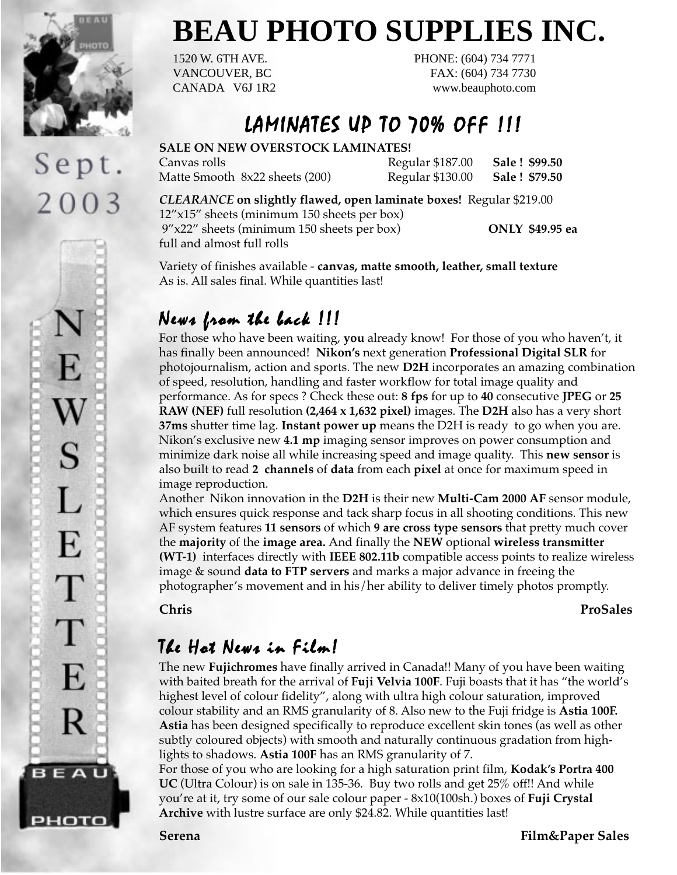

Sept.

2003

S

L

E

T

T

E

R

**BEAU** 

рното

# **BEAU PHOTO SUPPLIES INC.**

1520 W. 6TH AVE. PHONE: (604) 734 7771 VANCOUVER, BC FAX: (604) 734 7730 CANADA V6J 1R2 www.beauphoto.com

## LAMINATES UP TO 70% OFF !!!

#### **SALE ON NEW OVERSTOCK LAMINATES!**

Matte Smooth 8x22 sheets (200) Regular \$130.00 **Sale ! \$79.50**

Canvas rolls Regular \$187.00 **Sale ! \$99.50**

*CLEARANCE* **on slightly flawed, open laminate boxes!** Regular \$219.00

12"x15" sheets (minimum 150 sheets per box) 9"x22" sheets (minimum 150 sheets per box) **ONLY \$49.95 ea** full and almost full rolls

Variety of finishes available - **canvas, matte smooth, leather, small texture** As is. All sales final. While quantities last!

### News from the back  $|||$

For those who have been waiting, **you** already know! For those of you who haven't, it has finally been announced! **Nikon's** next generation **Professional Digital SLR** for photojournalism, action and sports. The new **D2H** incorporates an amazing combination of speed, resolution, handling and faster workflow for total image quality and performance. As for specs ? Check these out: **8 fps** for up to **40** consecutive **JPEG** or **25 RAW (NEF)** full resolution **(2,464 x 1,632 pixel)** images. The **D2H** also has a very short **37ms** shutter time lag. **Instant power up** means the D2H is ready to go when you are. Nikon's exclusive new **4.1 mp** imaging sensor improves on power consumption and minimize dark noise all while increasing speed and image quality. This **new sensor** is also built to read **2 channels** of **data** from each **pixel** at once for maximum speed in image reproduction.

Another Nikon innovation in the **D2H** is their new **Multi-Cam 2000 AF** sensor module, which ensures quick response and tack sharp focus in all shooting conditions. This new AF system features **11 sensors** of which **9 are cross type sensors** that pretty much cover the **majority** of the **image area.** And finally the **NEW** optional **wireless transmitter (WT-1)** interfaces directly with **IEEE 802.11b** compatible access points to realize wireless image & sound **data to FTP servers** and marks a major advance in freeing the photographer's movement and in his/her ability to deliver timely photos promptly.

**Chris ProSales**

## The Hot News in Film!

The new **Fujichromes** have finally arrived in Canada!! Many of you have been waiting with baited breath for the arrival of **Fuji Velvia 100F**. Fuji boasts that it has "the world's highest level of colour fidelity", along with ultra high colour saturation, improved colour stability and an RMS granularity of 8. Also new to the Fuji fridge is **Astia 100F. Astia** has been designed specifically to reproduce excellent skin tones (as well as other subtly coloured objects) with smooth and naturally continuous gradation from highlights to shadows. **Astia 100F** has an RMS granularity of 7.

For those of you who are looking for a high saturation print film, **Kodak's Portra 400 UC** (Ultra Colour) is on sale in 135-36. Buy two rolls and get 25% off!! And while you're at it, try some of our sale colour paper - 8x10(100sh.) boxes of **Fuji Crystal Archive** with lustre surface are only \$24.82. While quantities last!

**Serena Film&Paper Sales**